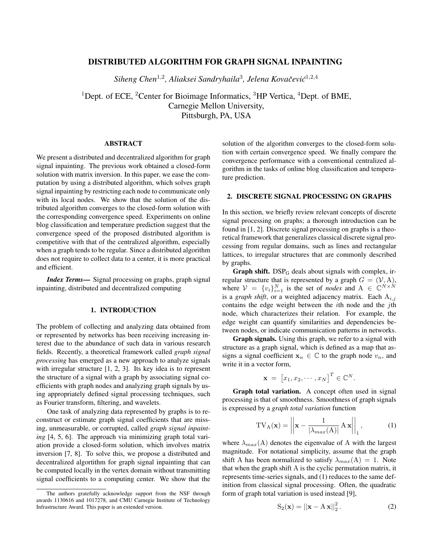# DISTRIBUTED ALGORITHM FOR GRAPH SIGNAL INPAINTING

*Siheng Chen*<sup>1</sup>,<sup>2</sup> *, Aliaksei Sandryhaila*<sup>3</sup> *, Jelena Kovacevi ˇ c´* 1,2,4

<sup>1</sup>Dept. of ECE, <sup>2</sup>Center for Bioimage Informatics, <sup>3</sup>HP Vertica, <sup>4</sup>Dept. of BME, Carnegie Mellon University, Pittsburgh, PA, USA

## ABSTRACT

We present a distributed and decentralized algorithm for graph signal inpainting. The previous work obtained a closed-form solution with matrix inversion. In this paper, we ease the computation by using a distributed algorithm, which solves graph signal inpainting by restricting each node to communicate only with its local nodes. We show that the solution of the distributed algorithm converges to the closed-form solution with the corresponding convergence speed. Experiments on online blog classification and temperature prediction suggest that the convergence speed of the proposed distributed algorithm is competitive with that of the centralized algorithm, especially when a graph tends to be regular. Since a distributed algorithm does not require to collect data to a center, it is more practical and efficient.

*Index Terms*— Signal processing on graphs, graph signal inpainting, distributed and decentralized computing

## 1. INTRODUCTION

The problem of collecting and analyzing data obtained from or represented by networks has been receiving increasing interest due to the abundance of such data in various research fields. Recently, a theoretical framework called *graph signal processing* has emerged as a new approach to analyze signals with irregular structure [1, 2, 3]. Its key idea is to represent the structure of a signal with a graph by associating signal coefficients with graph nodes and analyzing graph signals by using appropriately defined signal processing techniques, such as Fourier transform, filtering, and wavelets.

One task of analyzing data represented by graphs is to reconstruct or estimate graph signal coefficients that are missing, unmeasurable, or corrupted, called *graph signal inpainting* [4, 5, 6]. The approach via minimizing graph total variation provide a closed-form solution, which involves matrix inversion [7, 8]. To solve this, we propose a distributed and decentralized algortithm for graph signal inpainting that can be computed locally in the vertex domain without transmitting signal coefficients to a computing center. We show that the solution of the algorithm converges to the closed-form solution with certain convergence speed. We finally compare the convergence performance with a conventional centralized algorithm in the tasks of online blog classification and temperature prediction.

### 2. DISCRETE SIGNAL PROCESSING ON GRAPHS

In this section, we briefly review relevant concepts of discrete signal processing on graphs; a thorough introduction can be found in [1, 2]. Discrete signal processing on graphs is a theoretical framework that generalizes classical discrete signal processing from regular domains, such as lines and rectangular lattices, to irregular structures that are commonly described by graphs.

**Graph shift.**  $DSP_G$  deals about signals with complex, irregular structure that is represented by a graph  $G = (\mathcal{V}, A)$ , where  $V = \{v_i\}_{i=1}^N$  is the set of *nodes* and  $A \in \mathbb{C}^{N \times N}$ is a *graph shift*, or a weighted adjacency matrix. Each  $A_{i,j}$ contains the edge weight between the ith node and the jth node, which characterizes their relation. For example, the edge weight can quantify similarities and dependencies between nodes, or indicate communication patterns in networks.

Graph signals. Using this graph, we refer to a signal with structure as a graph signal, which is defined as a map that assigns a signal coefficient  $x_n \in \mathbb{C}$  to the graph node  $v_n$ , and write it in a vector form,

$$
\mathbf{x} = [x_1, x_2, \cdots, x_N]^T \in \mathbb{C}^N.
$$

Graph total variation. A concept often used in signal processing is that of smoothness. Smoothness of graph signals is expressed by a *graph total variation* function

$$
TV_{A}(\mathbf{x}) = \left\| \mathbf{x} - \frac{1}{|\lambda_{max}(A)|} A \mathbf{x} \right\|_{1},
$$
 (1)

where  $\lambda_{max}(A)$  denotes the eigenvalue of A with the largest magnitude. For notational simplicity, assume that the graph shift A has been normalized to satisfy  $\lambda_{max}(A) = 1$ . Note that when the graph shift A is the cyclic permutation matrix, it represents time-series signals, and (1) reduces to the same definition from classical signal processing. Often, the quadratic form of graph total variation is used instead [9],

$$
S_2(\mathbf{x}) = ||\mathbf{x} - A\mathbf{x}||_2^2.
$$
 (2)

The authors gratefully acknowledge support from the NSF through awards 1130616 and 1017278, and CMU Carnegie Institute of Technology Infrastructure Award. This paper is an extended version.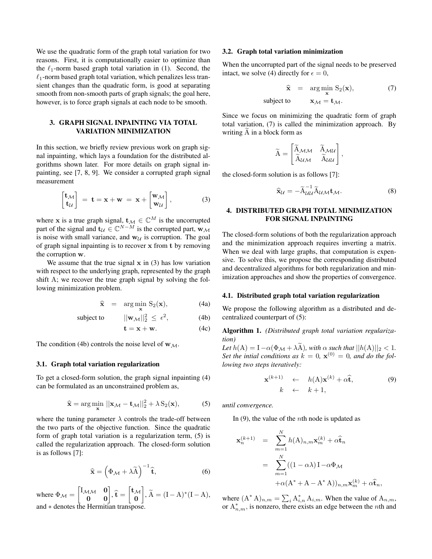We use the quadratic form of the graph total variation for two reasons. First, it is computationally easier to optimize than the  $\ell_1$ -norm based graph total variation in (1). Second, the  $\ell_1$ -norm based graph total variation, which penalizes less transient changes than the quadratic form, is good at separating smooth from non-smooth parts of graph signals; the goal here, however, is to force graph signals at each node to be smooth.

## 3. GRAPH SIGNAL INPAINTING VIA TOTAL VARIATION MINIMIZATION

In this section, we briefly review previous work on graph signal inpainting, which lays a foundation for the distributed algorithms shown later. For more details on graph signal inpainting, see [7, 8, 9]. We consider a corrupted graph signal measurement

$$
\begin{bmatrix} \mathbf{t}_{\mathcal{M}} \\ \mathbf{t}_{\mathcal{U}} \end{bmatrix} = \mathbf{t} = \mathbf{x} + \mathbf{w} = \mathbf{x} + \begin{bmatrix} \mathbf{w}_{\mathcal{M}} \\ \mathbf{w}_{\mathcal{U}} \end{bmatrix}, \tag{3}
$$

where x is a true graph signal,  $\mathbf{t}_{\mathcal{M}} \in \mathbb{C}^{M}$  is the uncorrupted part of the signal and  $\mathbf{t}_{\mathcal{U}} \in \mathbb{C}^{N-M}$  is the corrupted part,  $\mathbf{w}_{\mathcal{M}}$ is noise with small variance, and  $w_{\mathcal{U}}$  is corruption. The goal of graph signal inpainting is to recover x from t by removing the corruption w.

We assume that the true signal  $x$  in (3) has low variation with respect to the underlying graph, represented by the graph shift A; we recover the true graph signal by solving the following minimization problem.

$$
\widehat{\mathbf{x}} = \arg\min_{\mathbf{x}} S_2(\mathbf{x}), \tag{4a}
$$

subject to  $||\mathbf{w}_{\mathcal{M}}||_2^2 \leq \epsilon^2$  $(4b)$ 

$$
\mathbf{t} = \mathbf{x} + \mathbf{w}.\tag{4c}
$$

The condition (4b) controls the noise level of  $w_{\mathcal{M}}$ .

#### 3.1. Graph total variation regularization

To get a closed-form solution, the graph signal inpainting (4) can be formulated as an unconstrained problem as,

$$
\widehat{\mathbf{x}} = \arg\min_{\mathbf{x}} \|\mathbf{x}_{\mathcal{M}} - \mathbf{t}_{\mathcal{M}}\|_{2}^{2} + \lambda S_{2}(\mathbf{x}),
$$
 (5)

where the tuning parameter  $\lambda$  controls the trade-off between the two parts of the objective function. Since the quadratic form of graph total variation is a regularization term, (5) is called the regularization approach. The closed-form solution is as follows [7]:

$$
\widehat{\mathbf{x}} = \left(\Phi_{\mathcal{M}} + \lambda \widetilde{\mathbf{A}}\right)^{-1} \widehat{\mathbf{t}},\tag{6}
$$

where  $\Phi_{\mathcal{M}} = \begin{bmatrix} I_{\mathcal{M}\mathcal{M}} & \mathbf{0} \\ \mathbf{0} & \mathbf{0} \end{bmatrix}, \mathbf{\hat{t}} = \begin{bmatrix} \mathbf{t}_{\mathcal{M}} \\ \mathbf{0} \end{bmatrix}$ 0  $\left. \right|, \widetilde{A} = (I - A)^* (I - A),$ and ∗ denotes the Hermitian transpose.

#### 3.2. Graph total variation minimization

When the uncorrupted part of the signal needs to be preserved intact, we solve (4) directly for  $\epsilon = 0$ ,

$$
\hat{\mathbf{x}} = \arg\min_{\mathbf{x}} S_2(\mathbf{x}), \tag{7}
$$
  
subject to 
$$
\mathbf{x}_{\mathcal{M}} = \mathbf{t}_{\mathcal{M}}.
$$

Since we focus on minimizing the quadratic form of graph total variation, (7) is called the minimization approach. By writing  $A$  in a block form as

$$
\widetilde{A} = \begin{bmatrix} \widetilde{A}_{\mathcal{M}\mathcal{M}} & \widetilde{A}_{\mathcal{M}\mathcal{U}} \\ \widetilde{A}_{\mathcal{U}\mathcal{M}} & \widetilde{A}_{\mathcal{U}\mathcal{U}} \end{bmatrix},
$$

the closed-form solution is as follows [7]:

$$
\widehat{\mathbf{x}}_{\mathcal{U}} = -\widetilde{\mathbf{A}}_{\mathcal{U}\mathcal{U}}^{-1} \widetilde{\mathbf{A}}_{\mathcal{U}\mathcal{M}} \mathbf{t}_{\mathcal{M}}.
$$
\n(8)

## 4. DISTRIBUTED GRAPH TOTAL MINIMIZATION FOR SIGNAL INPAINTING

The closed-form solutions of both the regularization approach and the minimization approach requires inverting a matrix. When we deal with large graphs, that computation is expensive. To solve this, we propose the corresponding distributed and decentralized algorithms for both regularization and minimization approaches and show the properties of convergence.

### 4.1. Distributed graph total variation regularization

We propose the following algorithm as a distributed and decentralized counterpart of (5):

Algorithm 1. *(Distributed graph total variation regularization)*

*Let*  $h(A) = I - \alpha(\Phi_M + \lambda \widetilde{A})$ *, with*  $\alpha$  *such that*  $||h(A)||_2 < 1$ *.* Set the intial conditions as  $k = 0$ ,  $\mathbf{x}^{(0)} = 0$ , and do the fol*lowing two steps iteratively:*

$$
\mathbf{x}^{(k+1)} \leftarrow h(\mathbf{A})\mathbf{x}^{(k)} + \alpha \hat{\mathbf{t}},
$$
  
\n
$$
k \leftarrow k+1,
$$
 (9)

*until convergence.*

In  $(9)$ , the value of the *n*th node is updated as

$$
\mathbf{x}_{n}^{(k+1)} = \sum_{m=1}^{N} h(A)_{n,m} \mathbf{x}_{m}^{(k)} + \alpha \widehat{\mathbf{t}}_{n}
$$

$$
= \sum_{m=1}^{N} ((1 - \alpha \lambda) \mathbf{I} - \alpha \Phi_{\mathcal{M}} + \alpha (\mathbf{A}^{*} + \mathbf{A} - \mathbf{A}^{*} \mathbf{A}))_{n,m} \mathbf{x}_{m}^{(k)} + \alpha \widehat{\mathbf{t}}_{n},
$$

where  $(A^* A)_{n,m} = \sum_i A^*_{i,n} A_{i,m}$ . When the value of  $A_{n,m}$ , or  $A_{n,m}^*$ , is nonzero, there exists an edge between the *n*th and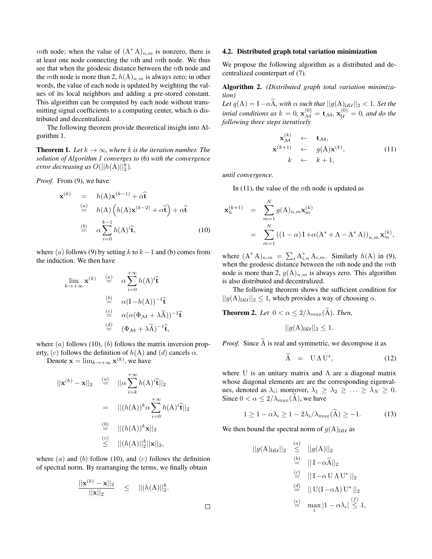mth node; when the value of  $(A^* A)_{n,m}$  is nonzero, there is at least one node connecting the  $nth$  and  $mt$ h node. We thus see that when the geodesic distance between the *n*th node and the *mth* node is more than 2,  $h(A)_{n,m}$  is always zero; in other words, the value of each node is updated by weighting the values of its local neighbors and adding a pre-stored constant. This algorithm can be computed by each node without transmitting signal coefficients to a computing center, which is distributed and decentralized.

The following theorem provide theoretical insight into Algorithm 1.

**Theorem 1.** Let  $k \to \infty$ , where k is the iteration number. The *solution of Algorithm 1 converges to* (6) *with the convergence error decreasing as*  $O(||h(A)||_2^k)$ .

*Proof.* From (9), we have

$$
\mathbf{x}^{(k)} = h(\mathbf{A})\mathbf{x}^{(k-1)} + \alpha \hat{\mathbf{t}}
$$
  
\n
$$
\stackrel{(a)}{=} h(\mathbf{A}) \left( h(\mathbf{A})\mathbf{x}^{(k-2)} + \alpha \hat{\mathbf{t}} \right) + \alpha \hat{\mathbf{t}}
$$
  
\n
$$
\stackrel{(b)}{=} \alpha \sum_{i=0}^{k-1} h(\mathbf{A})^i \hat{\mathbf{t}},
$$
 (10)

where (a) follows (9) by setting k to  $k - 1$  and (b) comes from the induction. We then have

$$
\lim_{k \to +\infty} \mathbf{x}^{(k)} \stackrel{(a)}{=} \alpha \sum_{i=0}^{+\infty} h(\mathbf{A})^i \hat{\mathbf{t}}
$$
\n
$$
\stackrel{(b)}{=} \alpha (\mathbf{I} - h(\mathbf{A}))^{-1} \hat{\mathbf{t}}
$$
\n
$$
\stackrel{(c)}{=} \alpha (\alpha (\Phi_{\mathcal{M}} + \lambda \tilde{\mathbf{A}}))^{-1} \hat{\mathbf{t}}
$$
\n
$$
\stackrel{(d)}{=} (\Phi_{\mathcal{M}} + \lambda \tilde{\mathbf{A}})^{-1} \hat{\mathbf{t}},
$$

where  $(a)$  follows (10),  $(b)$  follows the matrix inversion property, (c) follows the definition of  $h(A)$  and (d) cancels  $\alpha$ .

Denote  $\mathbf{x} = \lim_{k \to +\infty} \mathbf{x}^{(k)}$ , we have

$$
||\mathbf{x}^{(k)} - \mathbf{x}||_2 \stackrel{(a)}{=} ||\alpha \sum_{i=k}^{+\infty} h(\mathbf{A})^i \hat{\mathbf{t}}||_2
$$
  

$$
= ||(h(\mathbf{A}))^k \alpha \sum_{i=0}^{+\infty} h(\mathbf{A})^i \hat{\mathbf{t}}||_2
$$
  

$$
\stackrel{(b)}{=} ||(h(\mathbf{A}))^k \mathbf{x}||_2
$$
  

$$
\stackrel{(c)}{\leq} ||(h(\mathbf{A})||_2^k ||\mathbf{x}||_2,
$$

where  $(a)$  and  $(b)$  follow (10), and  $(c)$  follows the definition of spectral norm. By rearranging the terms, we finally obtain

$$
\frac{||\mathbf{x}^{(k)} - \mathbf{x}||_2}{||\mathbf{x}||_2} \le ||(h(\mathbf{A})||_2^k).
$$

#### 4.2. Distributed graph total variation minimization

We propose the following algorithm as a distributed and decentralized counterpart of (7).

## Algorithm 2. *(Distributed graph total variation minimization)*

*Let*  $g(A) = I - \alpha \tilde{A}$ *, with*  $\alpha$  *such that*  $||g(A)_{UU}||_2 < 1$ *. Set the intial conditions as*  $k = 0$ ,  $\mathbf{x}_{\mathcal{M}}^{(0)} = \mathbf{t}_{\mathcal{M}}$ ,  $\mathbf{x}_{\mathcal{U}}^{(0)} = 0$ , and do the *following three steps iteratively*

$$
\mathbf{x}_{\mathcal{M}}^{(k)} \leftarrow \mathbf{t}_{\mathcal{M}},
$$
\n
$$
\mathbf{x}^{(k+1)} \leftarrow g(\mathbf{A})\mathbf{x}^{(k)},
$$
\n
$$
k \leftarrow k+1,
$$
\n(11)

*until convergence.*

In  $(11)$ , the value of the *n*th node is updated as

$$
\mathbf{x}_{n}^{(k+1)} = \sum_{m=1}^{N} g(A)_{n,m} \mathbf{x}_{m}^{(k)}
$$
  
= 
$$
\sum_{m=1}^{N} ((1-\alpha) \mathbf{I} + \alpha (\mathbf{A}^{*} + \mathbf{A} - \mathbf{A}^{*} \mathbf{A}))_{n,m} \mathbf{x}_{m}^{(k)},
$$

where  $(A^* A)_{n,m} = \sum_i A_{i,n}^* A_{i,m}$ . Similarly  $h(A)$  in (9), when the geodesic distance between the *n*th node and the *mth* node is more than 2,  $g(A)_{n,m}$  is always zero. This algorithm is also distributed and decentralized.

The following theorem shows the sufficient condition for  $||g(A)_{UU}||_2 \leq 1$ , which provides a way of choosing  $\alpha$ .

**Theorem 2.** Let  $0 < \alpha \leq 2/\lambda_{max}(\widetilde{A})$ . Then,

$$
||g(A)_{\mathcal{U}\mathcal{U}}||_2 \leq 1.
$$

*Proof.* Since A is real and symmetric, we decompose it as

$$
\widetilde{A} = U \Lambda U^*, \qquad (12)
$$

where U is an unitary matrix and  $\Lambda$  are a diagonal matrix whose diagonal elements are are the corresponding eigenvalues, denoted as  $\lambda_i$ ; moreover,  $\lambda_1 \geq \lambda_2 \geq \ldots \geq \lambda_N \geq 0$ . Since  $0 < \alpha \leq 2/\lambda_{max}(A)$ , we have

$$
1 \ge 1 - \alpha \lambda_i \ge 1 - 2\lambda_i / \lambda_{max}(\tilde{\mathbf{A}}) \ge -1. \tag{13}
$$

We then bound the spectral norm of  $g(A)_{\mathcal{U}\mathcal{U}}$  as

$$
||g(A)_{UU}||_2 \le ||g(A)||_2
$$
  
\n
$$
\stackrel{(b)}{=} ||I - \alpha \tilde{A}||_2
$$
  
\n
$$
\stackrel{(c)}{=} ||I - \alpha U \Lambda U^*||_2
$$
  
\n
$$
\stackrel{(d)}{=} ||U(I - \alpha \Lambda) U^*||_2
$$
  
\n
$$
\stackrel{(e)}{=} \max_i |1 - \alpha \lambda_i| \stackrel{(f)}{\leq} 1,
$$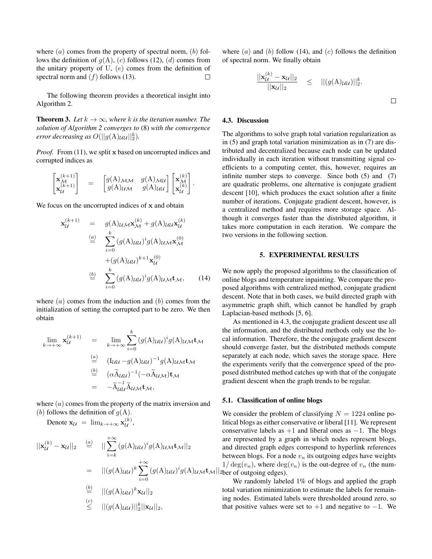where  $(a)$  comes from the property of spectral norm,  $(b)$  follows the definition of  $g(A)$ , (c) follows (12), (d) comes from the unitary property of U,  $(e)$  comes from the definition of spectral norm and  $(f)$  follows (13).  $\Box$ 

The following theorem provides a theoretical insight into Algorithm 2.

**Theorem 3.** *Let*  $k \to \infty$ *, where*  $k$  *is the iteration number. The solution of Algorithm 2 converges to* (8) *with the convergence error decreasing as*  $O(||g(A)_{UU}||_2^k)$ .

*Proof.* From (11), we split x based on uncorrupted indices and corrupted indices as

$$
\begin{bmatrix} \mathbf{x}_{\mathcal{M}}^{(k+1)} \\ \mathbf{x}_{\mathcal{U}}^{(k+1)} \end{bmatrix} = \begin{bmatrix} g(A)_{\mathcal{M}\mathcal{M}} & g(A)_{\mathcal{M}\mathcal{U}} \\ g(A)_{\mathcal{U}\mathcal{M}} & g(A)_{\mathcal{U}\mathcal{U}} \end{bmatrix} \begin{bmatrix} \mathbf{x}_{\mathcal{M}}^{(k)} \\ \mathbf{x}_{\mathcal{U}}^{(k)} \end{bmatrix}.
$$

We focus on the uncorrupted indices of x and obtain

$$
\mathbf{x}_{\mathcal{U}}^{(k+1)} = g(\mathbf{A})\mu_{\mathcal{M}}\mathbf{x}_{\mathcal{M}}^{(k)} + g(\mathbf{A})\mu_{\mathcal{U}}\mathbf{x}_{\mathcal{U}}^{(k)}
$$
  
\n
$$
\stackrel{(a)}{=} \sum_{i=0}^{k} (g(\mathbf{A})\mu_{\mathcal{U}})^{i}g(\mathbf{A})\mu_{\mathcal{M}}\mathbf{x}_{\mathcal{M}}^{(0)}
$$
  
\n
$$
\stackrel{(b)}{=} \sum_{i=0}^{k} (g(\mathbf{A})\mu_{\mathcal{U}})^{i}g(\mathbf{A})\mu_{\mathcal{M}}\mathbf{t}_{\mathcal{M}}, \qquad (14)
$$

where  $(a)$  comes from the induction and  $(b)$  comes from the initialization of setting the corrupted part to be zero. We then obtain

$$
\lim_{k \to +\infty} \mathbf{x}_{\mathcal{U}}^{(k+1)} = \lim_{k \to +\infty} \sum_{i=0}^{k} (g(A)_{\mathcal{U}\mathcal{U}})^{i} g(A)_{\mathcal{U}\mathcal{M}} \mathbf{t}_{\mathcal{M}}
$$
\n
$$
\stackrel{\text{(a)}}{=} (I_{\mathcal{U}\mathcal{U}} - g(A)_{\mathcal{U}\mathcal{U}})^{-1} g(A)_{\mathcal{U}\mathcal{M}} \mathbf{t}_{\mathcal{M}}
$$
\n
$$
\stackrel{\text{(b)}}{=} (\alpha \widetilde{A}_{\mathcal{U}\mathcal{U}})^{-1} (-\alpha \widetilde{A}_{\mathcal{U}\mathcal{M}}) \mathbf{t}_{\mathcal{M}}
$$
\n
$$
= -\widetilde{A}_{\mathcal{U}\mathcal{U}}^{-1} \widetilde{A}_{\mathcal{U}\mathcal{M}} \mathbf{t}_{\mathcal{M}},
$$

where  $(a)$  comes from the property of the matrix inversion and (b) follows the definition of  $q(A)$ .

Denote  $\mathbf{x}_{\mathcal{U}} = \lim_{k \to +\infty} \mathbf{x}_{\mathcal{U}}^{(k)}$  $\mathcal{U}^{(\kappa)},$ 

$$
\begin{array}{rcl}\n||\mathbf{x}_{\mathcal{U}}^{(k)} - \mathbf{x}_{\mathcal{U}}||_2 & \stackrel{(a)}{=} & ||\sum_{i=k}^{+\infty} (g(\mathbf{A})_{\mathcal{U}\mathcal{U}})^i g(\mathbf{A})_{\mathcal{U}\mathcal{M}} \mathbf{t}_{\mathcal{M}}||_2 & \text{as} \\
& = & ||(g(\mathbf{A})_{\mathcal{U}\mathcal{U}})^k \sum_{i=0}^{+\infty} (g(\mathbf{A})_{\mathcal{U}\mathcal{U}})^i g(\mathbf{A})_{\mathcal{U}\mathcal{M}} \mathbf{t}_{\mathcal{M}}||_2 & \text{if} \\
& \stackrel{(b)}{\leq} & ||(g(\mathbf{A})_{\mathcal{U}\mathcal{U}})^k \mathbf{x}_{\mathcal{U}}||_2 & \text{if} \\
& \leq & ||(g(\mathbf{A})_{\mathcal{U}\mathcal{U}})||_2^k ||\mathbf{x}_{\mathcal{U}}||_2, & \text{if}\n\end{array}
$$

where  $(a)$  and  $(b)$  follow (14), and  $(c)$  follows the definition of spectral norm. We finally obtain

$$
\frac{||\mathbf{x}_{\mathcal{U}}^{(k)} - \mathbf{x}_{\mathcal{U}}||_2}{||\mathbf{x}_{\mathcal{U}}||_2} \leq ||(g(\mathbf{A})_{\mathcal{U}\mathcal{U}})||_2^k.
$$

## 4.3. Discussion

The algorithms to solve graph total variation regularization as in (5) and graph total variation minimization as in (7) are distributed and decentralized because each node can be updated individually in each iteration without transmitting signal coefficients to a computing center, this, however, requires an infinite number steps to converge. Since both  $(5)$  and  $(7)$ are quadratic problems, one alternative is conjugate gradient descent [10], which produces the exact solution after a finite number of iterations. Conjugate gradient descent, however, is a centralized method and requires more storage space. Although it converges faster than the distributed algorithm, it takes more computation in each iteration. We compare the two versions in the following section.

### 5. EXPERIMENTAL RESULTS

We now apply the proposed algorithms to the classification of online blogs and temperature inpainting. We compare the proposed algorithms with centralized method, conjugate gradient descent. Note that in both cases, we build directed graph with asymmetric graph shift, which cannot be handled by graph Laplacian-based methods [5, 6].

As mentioned in 4.3, the conjugate gradient descent use all the information, and the distributed methods only use the local information. Therefore, the the conjugate gradient descent should converge faster, but the distributed methods compute separately at each node, which saves the storage space. Here the experiments verify that the convergence speed of the proposed distributed method catches up with that of the conjugate gradient descent when the graph trends to be regular.

#### 5.1. Classification of online blogs

We consider the problem of classifying  $N = 1224$  online political blogs as either conservative or liberal [11]. We represent conservative labels as  $+1$  and liberal ones as  $-1$ . The blogs re represented by a graph in which nodes represent blogs, and directed graph edges correspond to hyperlink references etween blogs. For a node  $v_n$  its outgoing edges have weights  $\log(v_n)$ , where  $\deg(v_n)$  is the out-degree of  $v_n$  (the number of outgoing edges).

We randomly labeled 1% of blogs and applied the graph otal variation minimization to estimate the labels for remaining nodes. Estimated labels were thresholded around zero, so that positive values were set to  $+1$  and negative to  $-1$ . We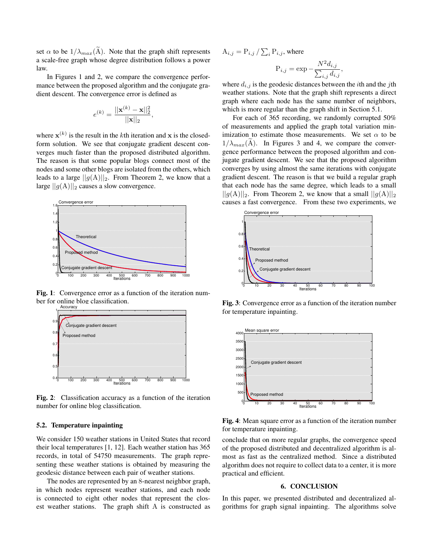set  $\alpha$  to be  $1/\lambda_{max}(\tilde{A})$ . Note that the graph shift represents a scale-free graph whose degree distribution follows a power law.

In Figures 1 and 2, we compare the convergence performance between the proposed algorithm and the conjugate gradient descent. The convergence error is defined as

$$
e^{(k)} = \frac{||\mathbf{x}^{(k)} - \mathbf{x}||_2^2}{||\mathbf{x}||_2}
$$

,

where  $\mathbf{x}^{(k)}$  is the result in the kth iteration and x is the closedform solution. We see that conjugate gradient descent converges much faster than the proposed distributed algorithm. The reason is that some popular blogs connect most of the nodes and some other blogs are isolated from the others, which leads to a large  $||g(A)||_2$ . From Theorem 2, we know that a large  $||g(A)||_2$  causes a slow convergence.



Fig. 1: Convergence error as a function of the iteration number for online blog classification.



Fig. 2: Classification accuracy as a function of the iteration number for online blog classification.

## 5.2. Temperature inpainting

We consider 150 weather stations in United States that record their local temperatures [1, 12]. Each weather station has 365 records, in total of 54750 measurements. The graph representing these weather stations is obtained by measuring the geodesic distance between each pair of weather stations.

The nodes are represented by an 8-nearest neighbor graph, in which nodes represent weather stations, and each node is connected to eight other nodes that represent the closest weather stations. The graph shift A is constructed as

 $\mathrm{A}_{i,j}=\mathrm{P}_{i,j}\,/\sum_{i}\mathrm{P}_{i,j},$  where

$$
\mathbf{P}_{i,j} = \exp -\frac{N^2 d_{i,j}}{\sum_{i,j} d_{i,j}},
$$

where  $d_{i,j}$  is the geodesic distances between the *i*th and the *j*th weather stations. Note that the graph shift represents a direct graph where each node has the same number of neighbors, which is more regular than the graph shift in Section 5.1.

For each of 365 recording, we randomly corrupted 50% of measurements and applied the graph total variation minimization to estimate those measurements. We set  $\alpha$  to be  $1/\lambda_{max}(A)$ . In Figures 3 and 4, we compare the convergence performance between the proposed algorithm and conjugate gradient descent. We see that the proposed algorithm converges by using almost the same iterations with conjugate gradient descent. The reason is that we build a regular graph that each node has the same degree, which leads to a small  $||g(A)||_2$ . From Theorem 2, we know that a small  $||g(A)||_2$ . causes a fast convergence. From these two experiments, we



Fig. 3: Convergence error as a function of the iteration number for temperature inpainting.



Fig. 4: Mean square error as a function of the iteration number for temperature inpainting.

conclude that on more regular graphs, the convergence speed of the proposed distributed and decentralized algorithm is almost as fast as the centralized method. Since a distributed algorithm does not require to collect data to a center, it is more practical and efficient.

### 6. CONCLUSION

In this paper, we presented distributed and decentralized algorithms for graph signal inpainting. The algorithms solve